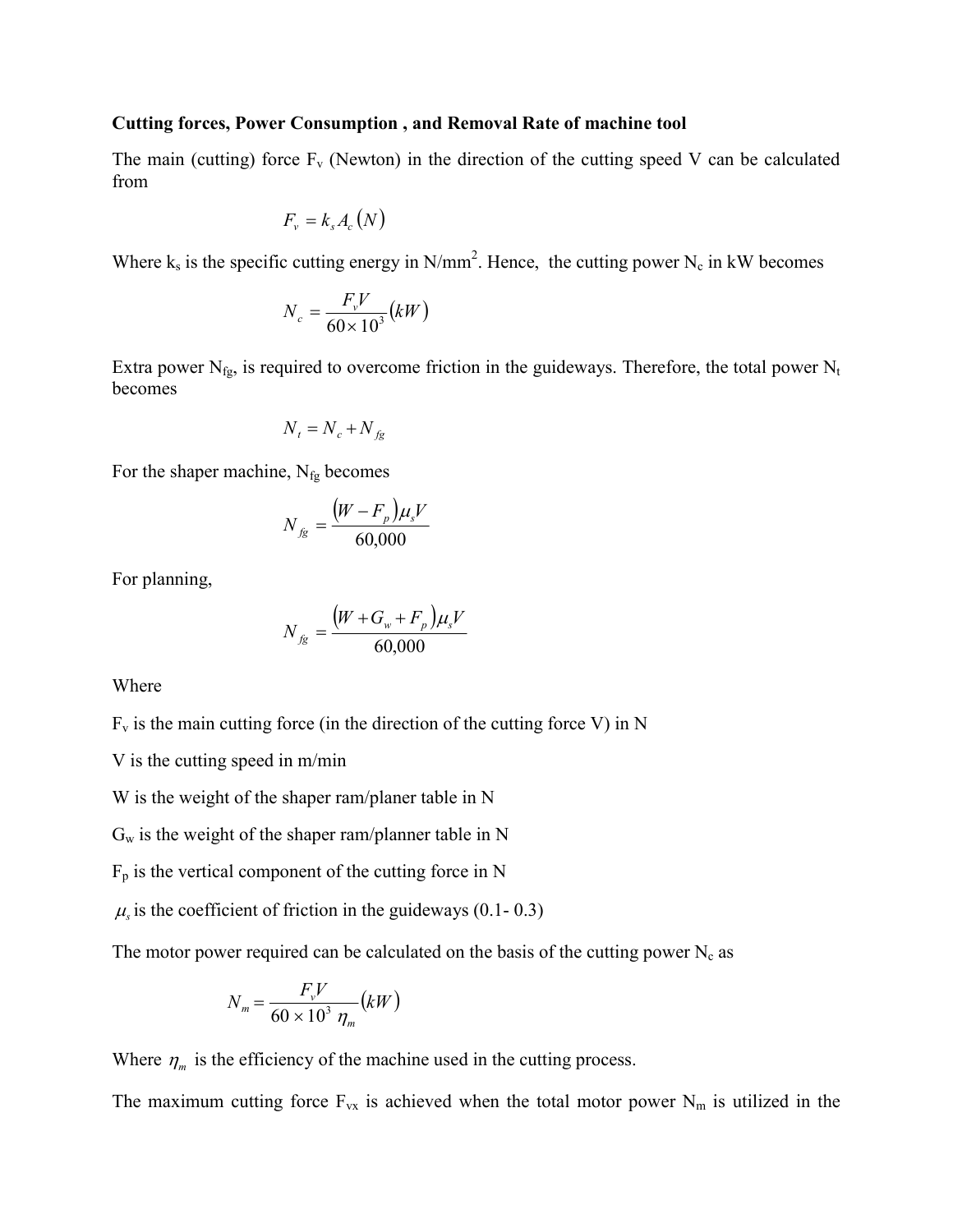### **Cutting forces, Power Consumption , and Removal Rate of machine tool**

The main (cutting) force  $F_v$  (Newton) in the direction of the cutting speed V can be calculated from

$$
F_{v} = k_{s} A_{c}(N)
$$

Where  $k_s$  is the specific cutting energy in N/mm<sup>2</sup>. Hence, the cutting power N<sub>c</sub> in kW becomes

$$
N_c = \frac{F_v V}{60 \times 10^3} (kW)
$$

Extra power  $N_{fg}$ , is required to overcome friction in the guideways. Therefore, the total power  $N_t$ becomes

$$
N_t = N_c + N_{fg}
$$

For the shaper machine,  $N_{fg}$  becomes

$$
N_{fg} = \frac{(W - F_p)\mu_s V}{60,000}
$$

For planning,

$$
N_{fg} = \frac{(W + G_w + F_p)\mu_s V}{60,000}
$$

Where

$$
F_v
$$
 is the main cutting force (in the direction of the cutting force V) in N

V is the cutting speed in m/min

W is the weight of the shaper ram/planer table in N

 $G_w$  is the weight of the shaper ram/planner table in N

 $F_p$  is the vertical component of the cutting force in N

 $\mu$ <sub>s</sub> is the coefficient of friction in the guideways (0.1- 0.3)

The motor power required can be calculated on the basis of the cutting power  $N_c$  as

$$
N_m = \frac{F_v V}{60 \times 10^3 \eta_m} (kW)
$$

Where  $\eta_m$  is the efficiency of the machine used in the cutting process.

The maximum cutting force  $F_{vx}$  is achieved when the total motor power  $N_m$  is utilized in the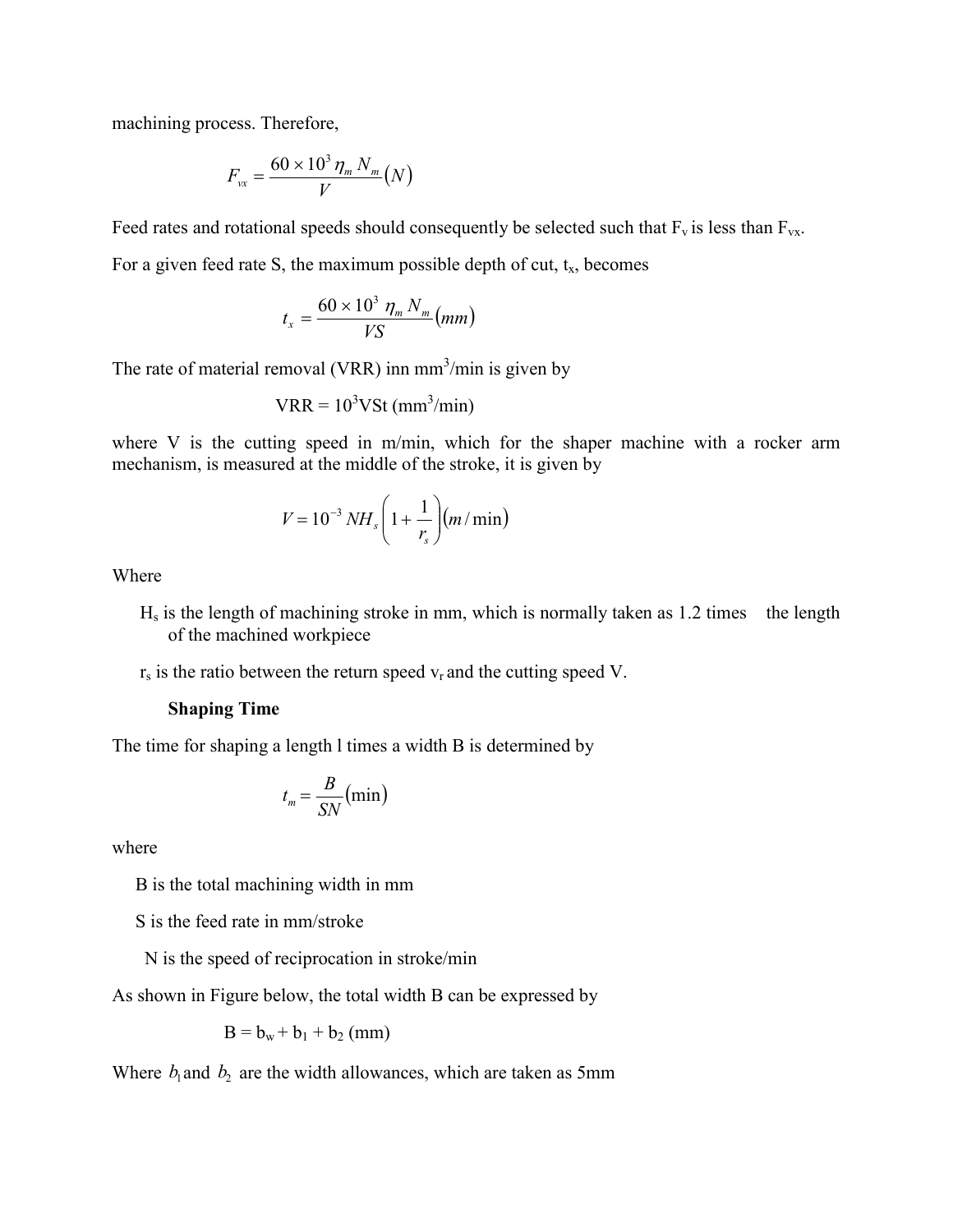machining process. Therefore,

$$
F_{vx} = \frac{60 \times 10^3 \eta_m N_m}{V} (N)
$$

Feed rates and rotational speeds should consequently be selected such that  $F_v$  is less than  $F_{vx}$ .

For a given feed rate S, the maximum possible depth of cut,  $t<sub>x</sub>$ , becomes

$$
t_x = \frac{60 \times 10^3 \eta_m N_m}{V S}(mm)
$$

The rate of material removal (VRR) inn  $mm<sup>3</sup>/min$  is given by

$$
VRR = 103VSt (mm3/min)
$$

where V is the cutting speed in m/min, which for the shaper machine with a rocker arm mechanism, is measured at the middle of the stroke, it is given by

$$
V = 10^{-3} NH_s \left(1 + \frac{1}{r_s}\right) \left(m / \min\right)
$$

Where

- $H<sub>s</sub>$  is the length of machining stroke in mm, which is normally taken as 1.2 times the length of the machined workpiece
- $r<sub>s</sub>$  is the ratio between the return speed  $v<sub>r</sub>$  and the cutting speed V.

#### **Shaping Time**

The time for shaping a length l times a width B is determined by

$$
t_m = \frac{B}{SN}(\min)
$$

where

B is the total machining width in mm

S is the feed rate in mm/stroke

N is the speed of reciprocation in stroke/min

As shown in Figure below, the total width B can be expressed by

$$
B = b_w + b_1 + b_2 \text{ (mm)}
$$

Where  $b_1$  and  $b_2$  are the width allowances, which are taken as 5mm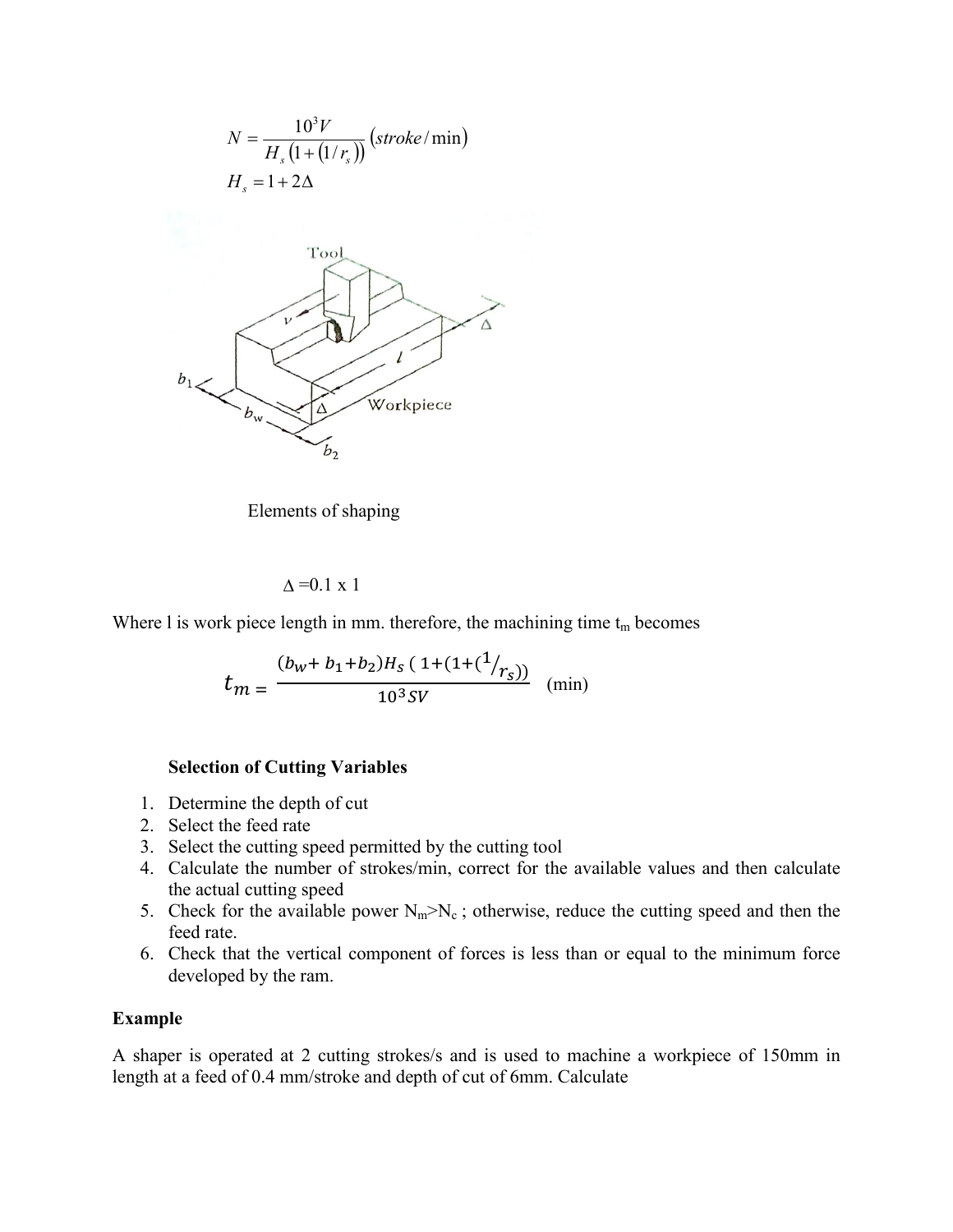

Elements of shaping

 $\Delta$ =0.1 x 1

Where I is work piece length in mm. therefore, the machining time  $t_m$  becomes

$$
t_m = \frac{(b_w + b_1 + b_2)H_s (1 + (1 + (1/r_s)))}{10^3 SV}
$$
 (min)

### **Selection of Cutting Variables**

- 1. Determine the depth of cut
- 2. Select the feed rate
- 3. Select the cutting speed permitted by the cutting tool
- 4. Calculate the number of strokes/min, correct for the available values and then calculate the actual cutting speed
- 5. Check for the available power  $N_m > N_c$ ; otherwise, reduce the cutting speed and then the feed rate.
- 6. Check that the vertical component of forces is less than or equal to the minimum force developed by the ram.

## **Example**

A shaper is operated at 2 cutting strokes/s and is used to machine a workpiece of 150mm in length at a feed of 0.4 mm/stroke and depth of cut of 6mm. Calculate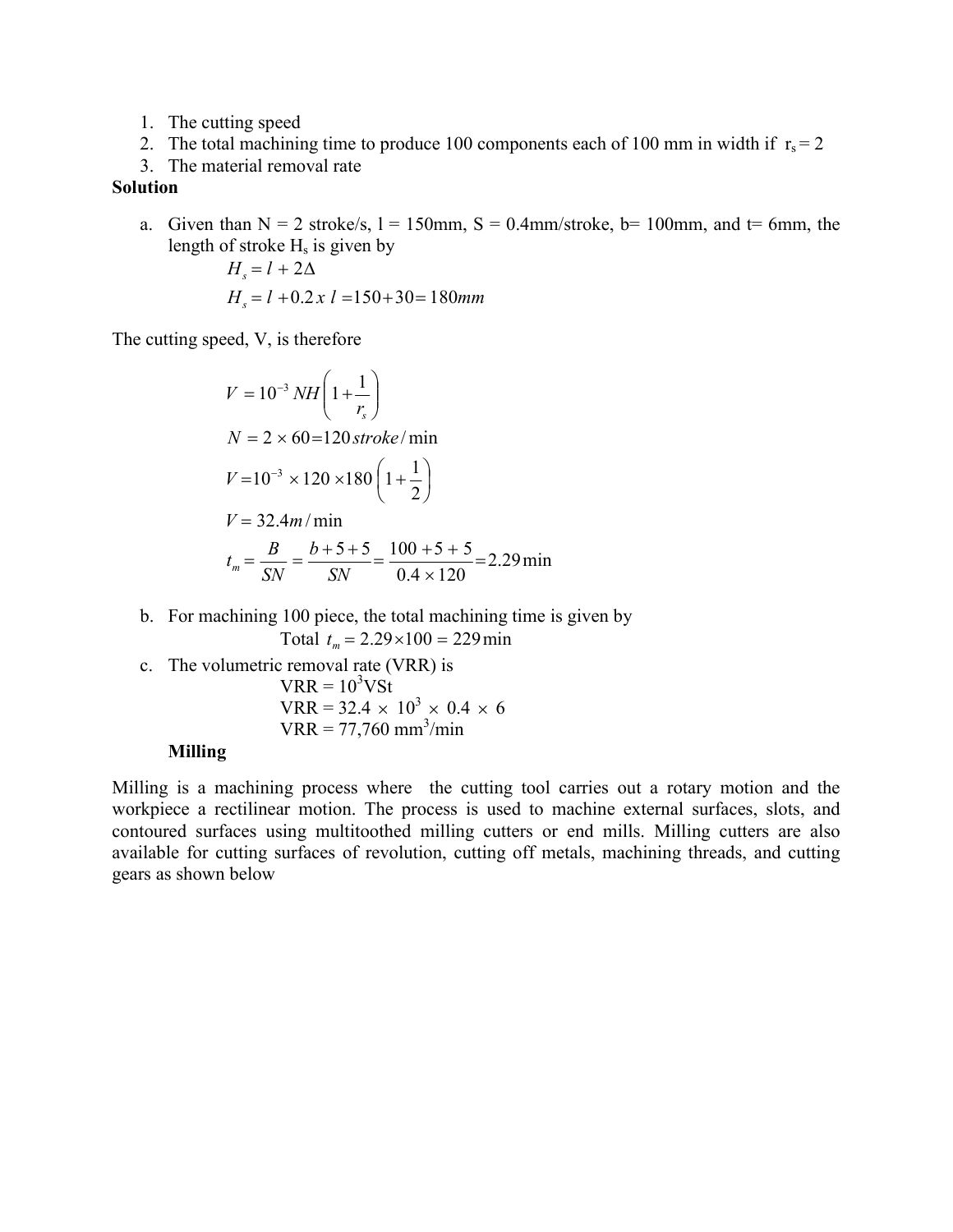- 1. The cutting speed
- 2. The total machining time to produce 100 components each of 100 mm in width if  $r_s = 2$
- 3. The material removal rate

# **Solution**

a. Given than  $N = 2$  stroke/s,  $l = 150$ mm,  $S = 0.4$ mm/stroke,  $b = 100$ mm, and  $t = 6$ mm, the length of stroke  $H_s$  is given by

$$
H_s = l + 2\Delta
$$
  
H\_s = l + 0.2 x l = 150+30=180mm

The cutting speed, V, is therefore

$$
V = 10^{-3} NH\left(1 + \frac{1}{r_s}\right)
$$
  
\n
$$
N = 2 \times 60 = 120 \text{ stroke/min}
$$
  
\n
$$
V = 10^{-3} \times 120 \times 180 \left(1 + \frac{1}{2}\right)
$$
  
\n
$$
V = 32.4 m/min
$$
  
\n
$$
t_m = \frac{B}{SN} = \frac{b + 5 + 5}{SN} = \frac{100 + 5 + 5}{0.4 \times 120} = 2.29 \text{ min}
$$

- b. For machining 100 piece, the total machining time is given by Total  $t_m = 2.29 \times 100 = 229$  min
- c. The volumetric removal rate (VRR) is  $VRR = 10<sup>3</sup> VSt$  $VRR = 32.4 \times 10^3 \times 0.4 \times 6$  $VRR = 77,760$  mm<sup>3</sup>/min

## **Milling**

Milling is a machining process where the cutting tool carries out a rotary motion and the workpiece a rectilinear motion. The process is used to machine external surfaces, slots, and contoured surfaces using multitoothed milling cutters or end mills. Milling cutters are also available for cutting surfaces of revolution, cutting off metals, machining threads, and cutting gears as shown below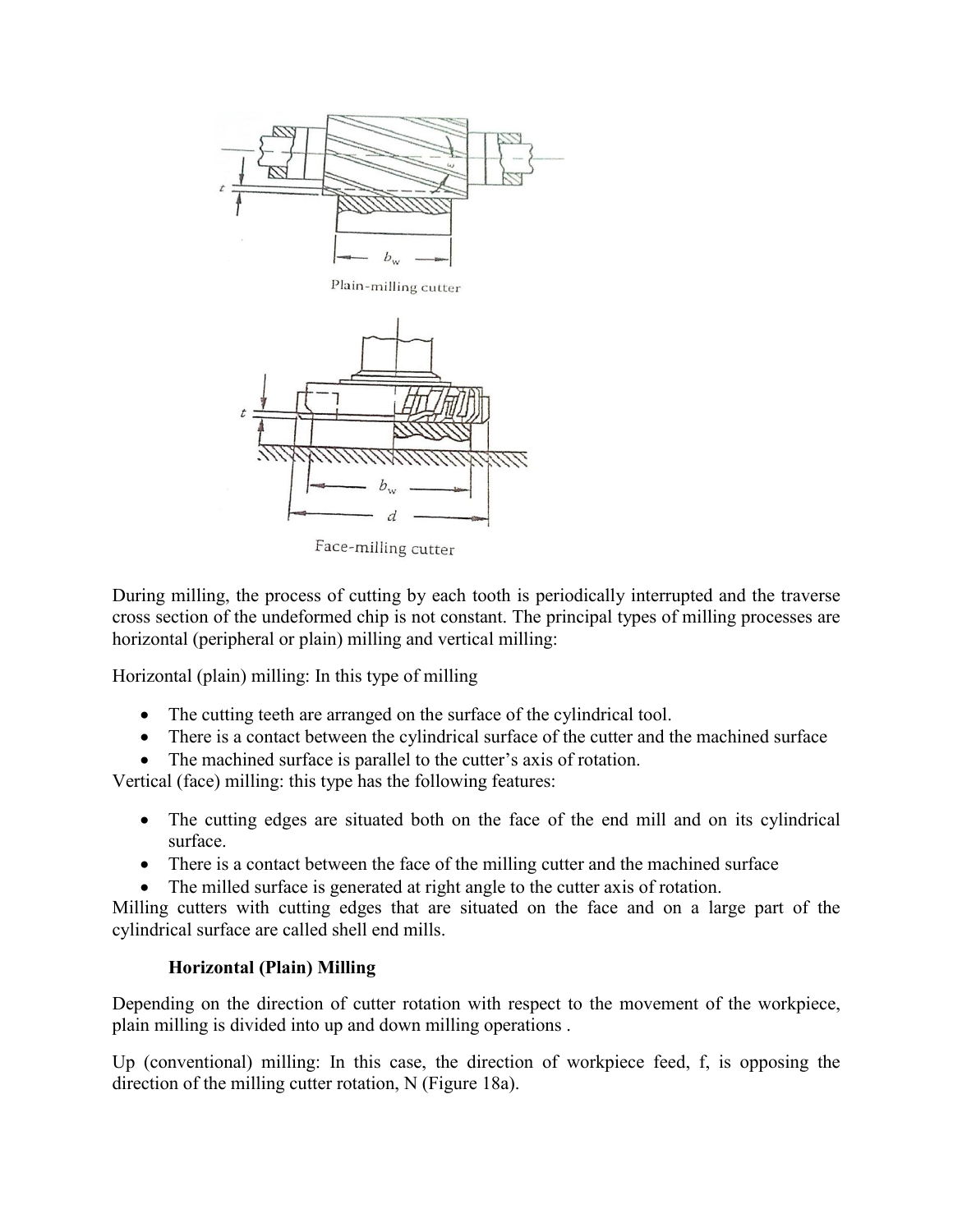

Plain-milling cutter



Face-milling cutter

During milling, the process of cutting by each tooth is periodically interrupted and the traverse cross section of the undeformed chip is not constant. The principal types of milling processes are horizontal (peripheral or plain) milling and vertical milling:

Horizontal (plain) milling: In this type of milling

- The cutting teeth are arranged on the surface of the cylindrical tool.
- There is a contact between the cylindrical surface of the cutter and the machined surface
- The machined surface is parallel to the cutter's axis of rotation.

Vertical (face) milling: this type has the following features:

- The cutting edges are situated both on the face of the end mill and on its cylindrical surface.
- There is a contact between the face of the milling cutter and the machined surface
- The milled surface is generated at right angle to the cutter axis of rotation.

Milling cutters with cutting edges that are situated on the face and on a large part of the cylindrical surface are called shell end mills.

# **Horizontal (Plain) Milling**

Depending on the direction of cutter rotation with respect to the movement of the workpiece, plain milling is divided into up and down milling operations .

Up (conventional) milling: In this case, the direction of workpiece feed, f, is opposing the direction of the milling cutter rotation, N (Figure 18a).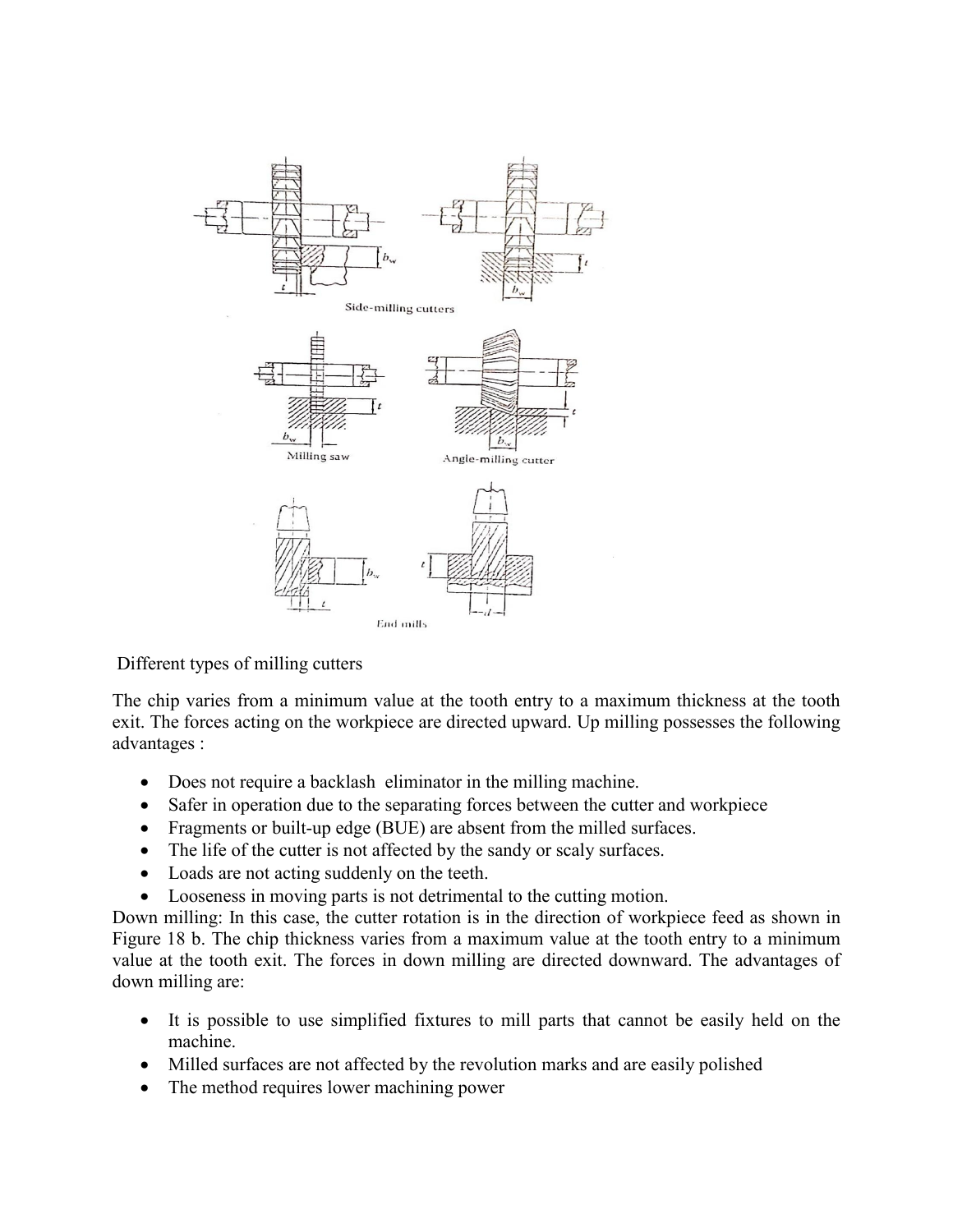

Different types of milling cutters

The chip varies from a minimum value at the tooth entry to a maximum thickness at the tooth exit. The forces acting on the workpiece are directed upward. Up milling possesses the following advantages :

- Does not require a backlash eliminator in the milling machine.
- Safer in operation due to the separating forces between the cutter and workpiece
- Fragments or built-up edge (BUE) are absent from the milled surfaces.
- The life of the cutter is not affected by the sandy or scaly surfaces.
- Loads are not acting suddenly on the teeth.
- Looseness in moving parts is not detrimental to the cutting motion.

Down milling: In this case, the cutter rotation is in the direction of workpiece feed as shown in Figure 18 b. The chip thickness varies from a maximum value at the tooth entry to a minimum value at the tooth exit. The forces in down milling are directed downward. The advantages of down milling are:

- It is possible to use simplified fixtures to mill parts that cannot be easily held on the machine.
- Milled surfaces are not affected by the revolution marks and are easily polished
- The method requires lower machining power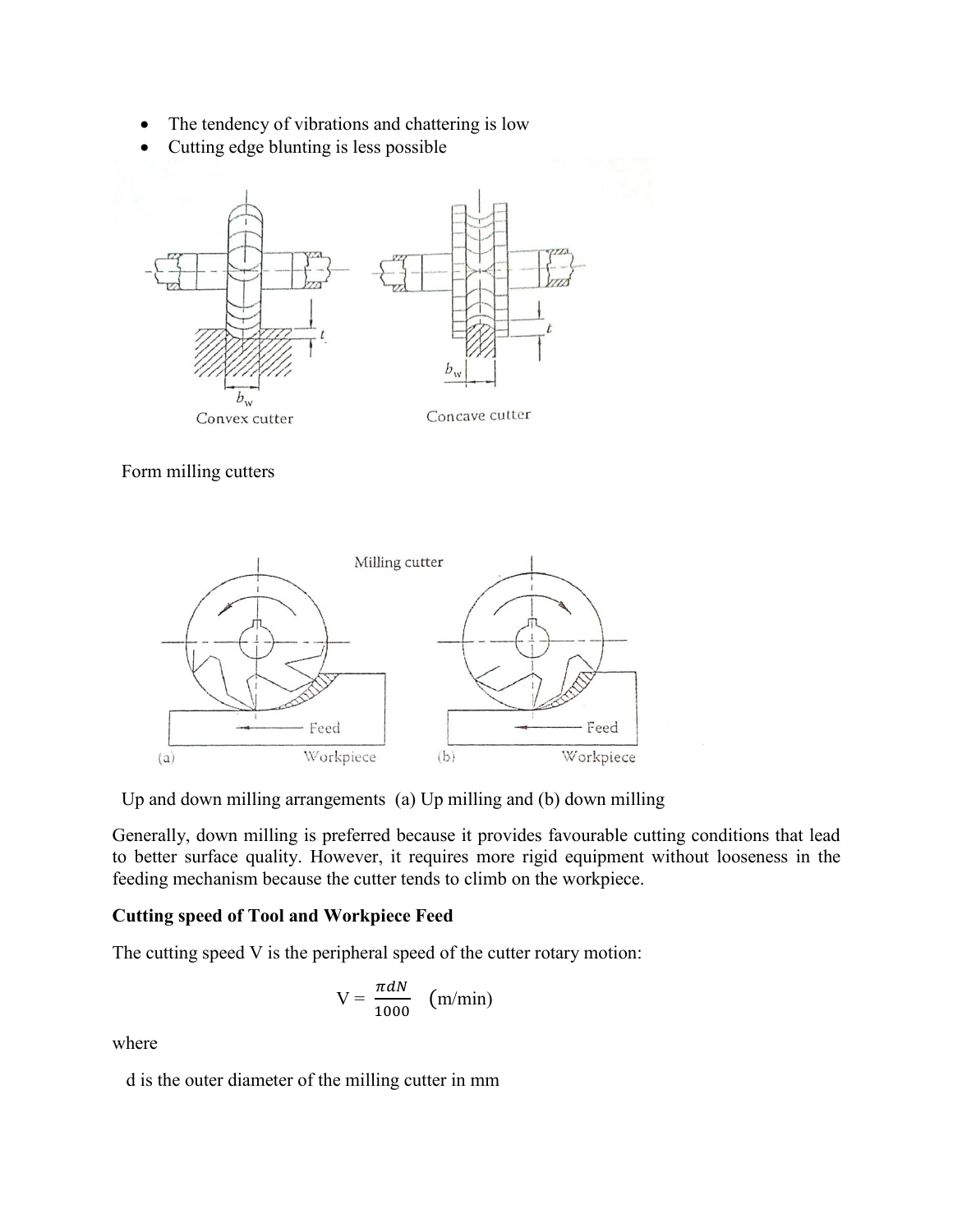- The tendency of vibrations and chattering is low
- Cutting edge blunting is less possible



Form milling cutters



Up and down milling arrangements (a) Up milling and (b) down milling

Generally, down milling is preferred because it provides favourable cutting conditions that lead to better surface quality. However, it requires more rigid equipment without looseness in the feeding mechanism because the cutter tends to climb on the workpiece.

# **Cutting speed of Tool and Workpiece Feed**

The cutting speed V is the peripheral speed of the cutter rotary motion:

$$
V = \frac{\pi dN}{1000} \quad (m/min)
$$

where

d is the outer diameter of the milling cutter in mm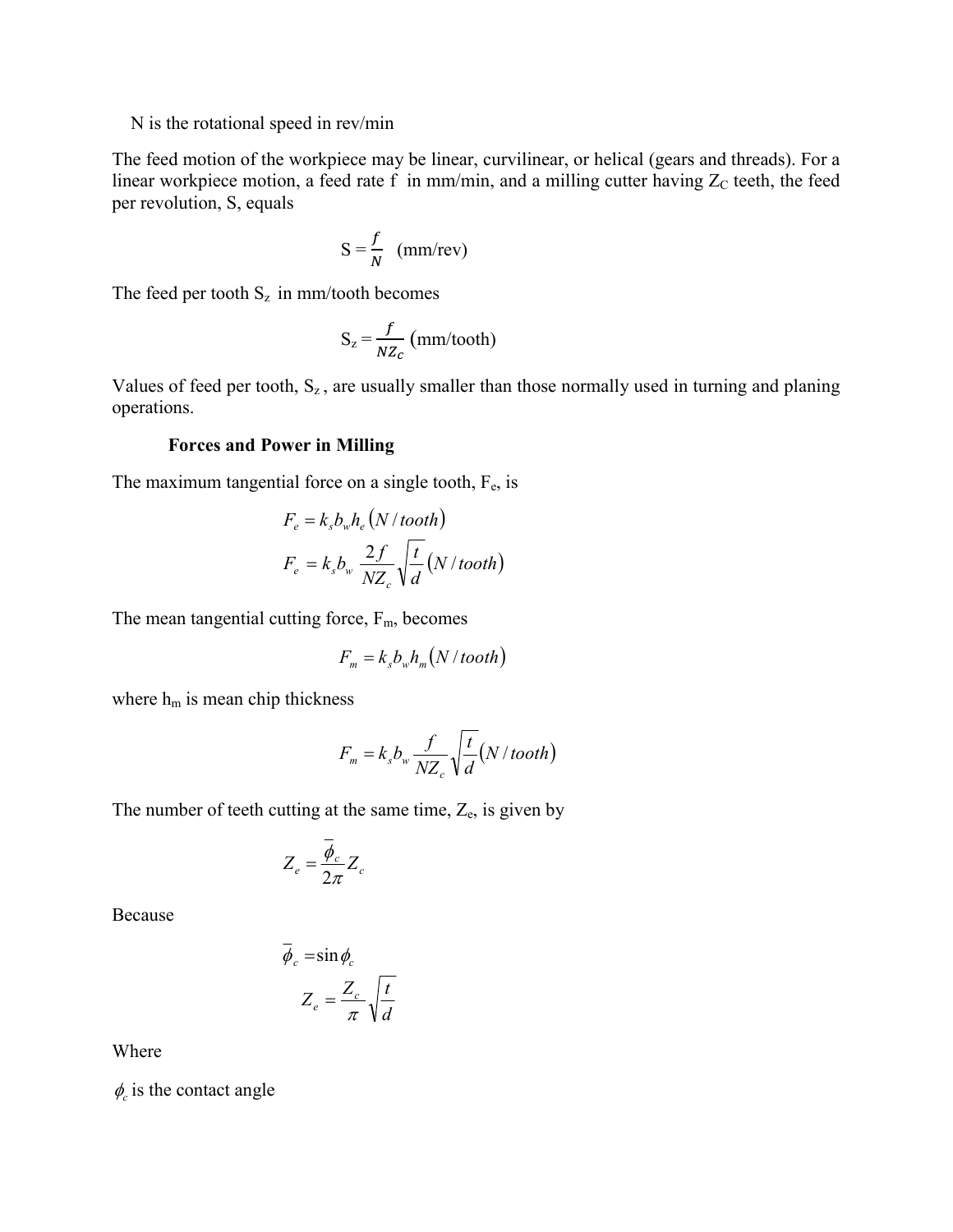### N is the rotational speed in rev/min

The feed motion of the workpiece may be linear, curvilinear, or helical (gears and threads). For a linear workpiece motion, a feed rate f in mm/min, and a milling cutter having  $Z_c$  teeth, the feed per revolution, S, equals

$$
S = \frac{f}{N} \quad (mm/rev)
$$

The feed per tooth  $S_z$  in mm/tooth becomes

$$
S_z = \frac{f}{N Z_c} \text{ (mm/tooth)}
$$

Values of feed per tooth,  $S_z$ , are usually smaller than those normally used in turning and planing operations.

## **Forces and Power in Milling**

The maximum tangential force on a single tooth,  $F_e$ , is

$$
F_e = k_s b_w h_e (N / tooth)
$$
  

$$
F_e = k_s b_w \frac{2f}{NZ_c} \sqrt{\frac{t}{d}} (N / tooth)
$$

The mean tangential cutting force,  $F_m$ , becomes

$$
F_m = k_s b_w h_m (N / tooth)
$$

where  $h_m$  is mean chip thickness

$$
F_m = k_s b_w \frac{f}{NZ_c} \sqrt{\frac{t}{d}} (N / \text{tooth})
$$

The number of teeth cutting at the same time,  $Z_e$ , is given by

$$
Z_e = \frac{\overline{\phi}_c}{2\pi} Z_c
$$

Because

$$
\overline{\phi}_c = \sin \phi_c
$$

$$
Z_e = \frac{Z_c}{\pi} \sqrt{\frac{t}{d}}
$$

Where

 $\phi_c$  is the contact angle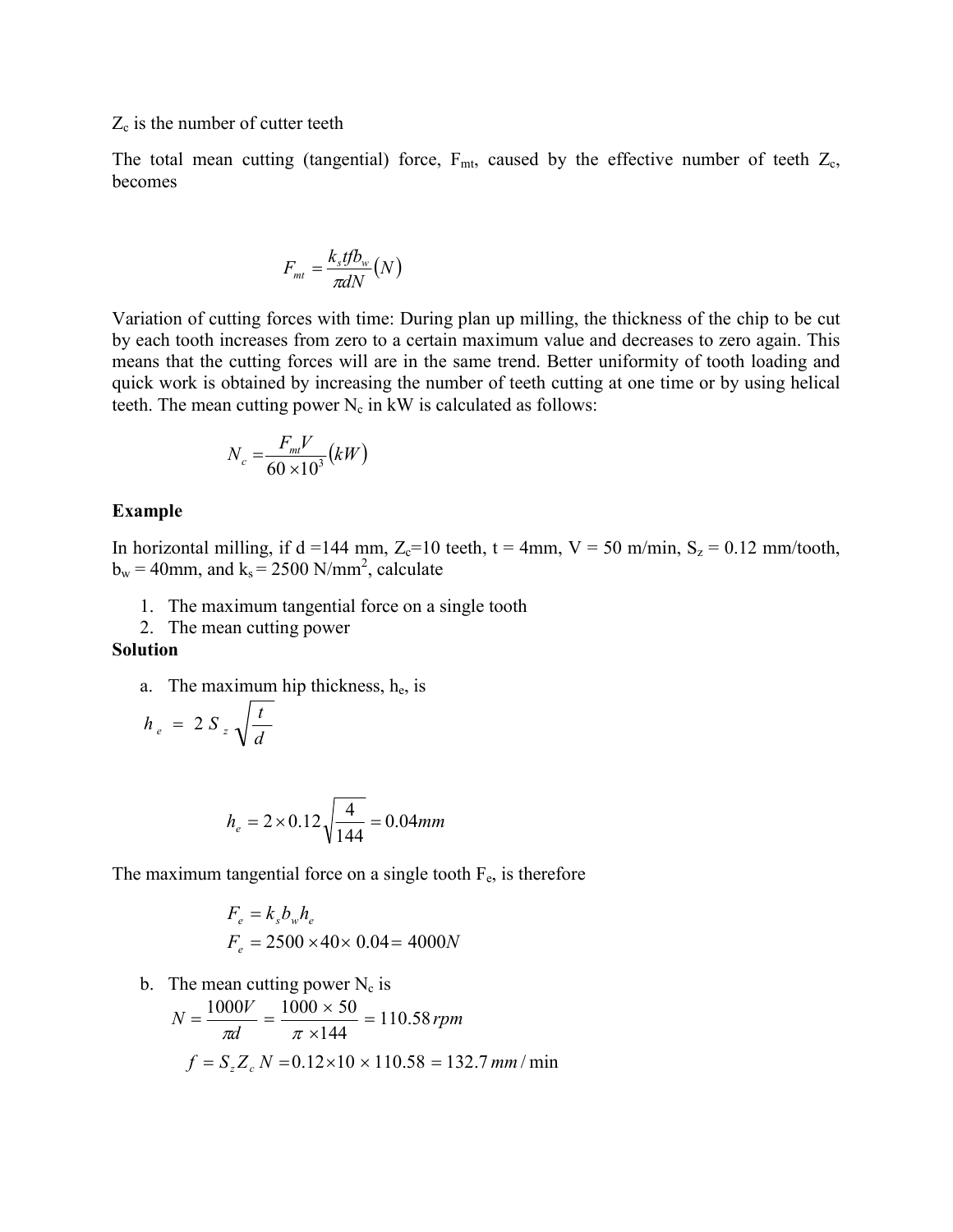### $Z_c$  is the number of cutter teeth

The total mean cutting (tangential) force,  $F_{mt}$ , caused by the effective number of teeth  $Z_c$ , becomes

$$
F_{m t} = \frac{k_s t f b_w}{\pi d N} (N)
$$

Variation of cutting forces with time: During plan up milling, the thickness of the chip to be cut by each tooth increases from zero to a certain maximum value and decreases to zero again. This means that the cutting forces will are in the same trend. Better uniformity of tooth loading and quick work is obtained by increasing the number of teeth cutting at one time or by using helical teeth. The mean cutting power  $N_c$  in kW is calculated as follows:

$$
N_c = \frac{F_{mt}V}{60 \times 10^3} (kW)
$$

#### **Example**

In horizontal milling, if d =144 mm,  $Z_c$ =10 teeth, t = 4mm, V = 50 m/min, S<sub>z</sub> = 0.12 mm/tooth,  $b_w = 40$ mm, and  $k_s = 2500$  N/mm<sup>2</sup>, calculate

- 1. The maximum tangential force on a single tooth
- 2. The mean cutting power

#### **Solution**

a. The maximum hip thickness,  $h_e$ , is

$$
h_e = 2 S_z \sqrt{\frac{t}{d}}
$$

$$
h_e = 2 \times 0.12 \sqrt{\frac{4}{144}} = 0.04 \text{mm}
$$

The maximum tangential force on a single tooth  $F_e$ , is therefore

$$
F_e = k_s b_w h_e
$$
  
F<sub>e</sub> = 2500 × 40 × 0.04 = 4000N

b. The mean cutting power  $N_c$  is  $f = S_z Z_c N = 0.12 \times 10 \times 110.58 = 132.7$  *mm* / min 110.58 144  $N = \frac{1000V}{\pi d} = \frac{1000 \times 50}{\pi \times 144} = 110.58$  rpm